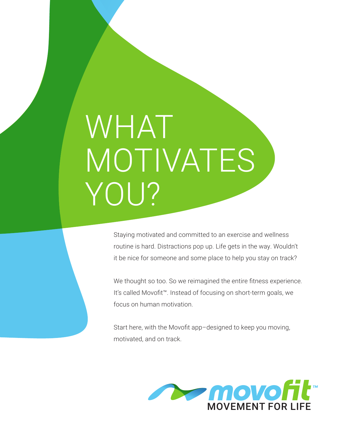# WHAT MOTIVATES YOU?

Staying motivated and committed to an exercise and wellness routine is hard. Distractions pop up. Life gets in the way. Wouldn't it be nice for someone and some place to help you stay on track?

We thought so too. So we reimagined the entire fitness experience. It's called Movofit™. Instead of focusing on short-term goals, we focus on human motivation.

Start here, with the Movofit app–designed to keep you moving, motivated, and on track.